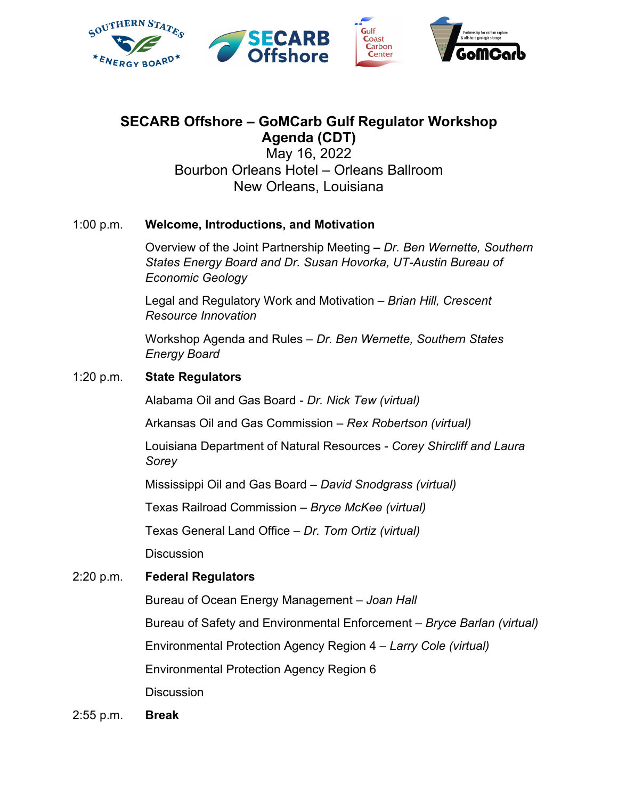

# **SECARB Offshore – GoMCarb Gulf Regulator Workshop Agenda (CDT)**

May 16, 2022 Bourbon Orleans Hotel – Orleans Ballroom New Orleans, Louisiana

## 1:00 p.m. **Welcome, Introductions, and Motivation**

Overview of the Joint Partnership Meeting **–** *Dr. Ben Wernette, Southern States Energy Board and Dr. Susan Hovorka, UT-Austin Bureau of Economic Geology*

Legal and Regulatory Work and Motivation – *Brian Hill, Crescent Resource Innovation*

Workshop Agenda and Rules – *Dr. Ben Wernette, Southern States Energy Board*

## 1:20 p.m. **State Regulators**

Alabama Oil and Gas Board - *Dr. Nick Tew (virtual)*

Arkansas Oil and Gas Commission – *Rex Robertson (virtual)*

Louisiana Department of Natural Resources - *Corey Shircliff and Laura Sorey*

Mississippi Oil and Gas Board – *David Snodgrass (virtual)*

Texas Railroad Commission – *Bryce McKee (virtual)*

Texas General Land Office – *Dr. Tom Ortiz (virtual)*

**Discussion** 

## 2:20 p.m. **Federal Regulators**

Bureau of Ocean Energy Management – *Joan Hall*

Bureau of Safety and Environmental Enforcement – *Bryce Barlan (virtual)*

Environmental Protection Agency Region 4 – *Larry Cole (virtual)*

Environmental Protection Agency Region 6

**Discussion** 

2:55 p.m. **Break**